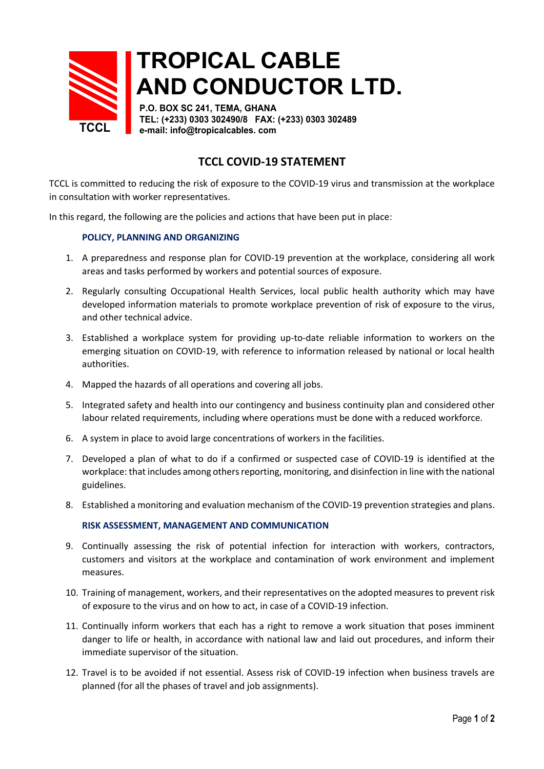

# **TROPICAL CABLE AND CONDUCTOR LTD.**

**P.O. BOX SC 241, TEMA, GHANA TEL: (+233) 0303 302490/8 FAX: (+233) 0303 302489 e-mail: info@tropicalcables. com**

## **TCCL COVID-19 STATEMENT**

TCCL is committed to reducing the risk of exposure to the COVID-19 virus and transmission at the workplace in consultation with worker representatives.

In this regard, the following are the policies and actions that have been put in place:

### **POLICY, PLANNING AND ORGANIZING**

- 1. A preparedness and response plan for COVID-19 prevention at the workplace, considering all work areas and tasks performed by workers and potential sources of exposure.
- 2. Regularly consulting Occupational Health Services, local public health authority which may have developed information materials to promote workplace prevention of risk of exposure to the virus, and other technical advice.
- 3. Established a workplace system for providing up-to-date reliable information to workers on the emerging situation on COVID-19, with reference to information released by national or local health authorities.
- 4. Mapped the hazards of all operations and covering all jobs.
- 5. Integrated safety and health into our contingency and business continuity plan and considered other labour related requirements, including where operations must be done with a reduced workforce.
- 6. A system in place to avoid large concentrations of workers in the facilities.
- 7. Developed a plan of what to do if a confirmed or suspected case of COVID-19 is identified at the workplace: that includes among others reporting, monitoring, and disinfection in line with the national guidelines.
- 8. Established a monitoring and evaluation mechanism of the COVID-19 prevention strategies and plans.

#### **RISK ASSESSMENT, MANAGEMENT AND COMMUNICATION**

- 9. Continually assessing the risk of potential infection for interaction with workers, contractors, customers and visitors at the workplace and contamination of work environment and implement measures.
- 10. Training of management, workers, and their representatives on the adopted measures to prevent risk of exposure to the virus and on how to act, in case of a COVID-19 infection.
- 11. Continually inform workers that each has a right to remove a work situation that poses imminent danger to life or health, in accordance with national law and laid out procedures, and inform their immediate supervisor of the situation.
- 12. Travel is to be avoided if not essential. Assess risk of COVID-19 infection when business travels are planned (for all the phases of travel and job assignments).